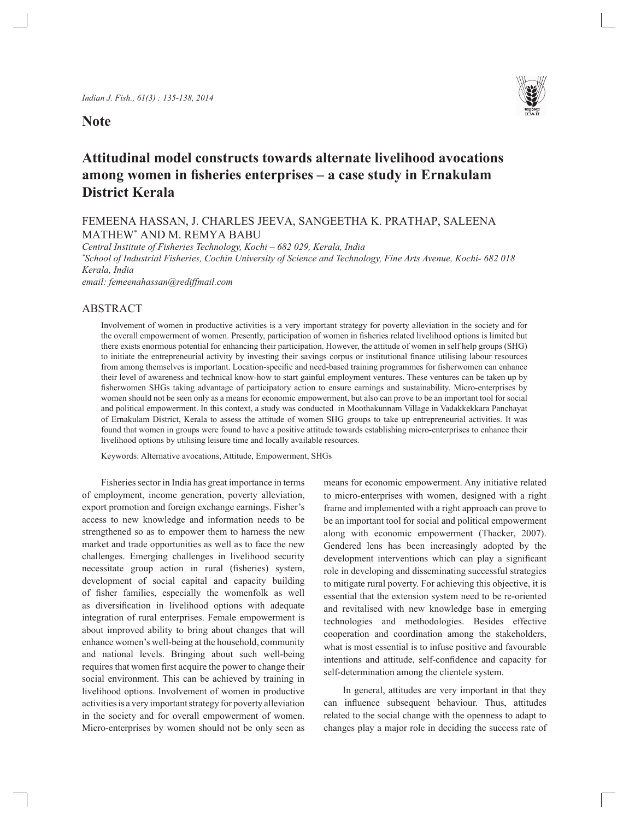**Note**



# **Attitudinal model constructs towards alternate livelihood avocations among women in fisheries enterprises – a case study in Ernakulam District Kerala**

## FEMEENA HASSAN, J. CHARLES JEEVA, SANGEETHA K. PRATHAP, SALEENA MATHEW\* AND M. REMYA BABU

*Central Institute of Fisheries Technology, Kochi – 682 029, Kerala, India*

*\* School of Industrial Fisheries, Cochin University of Science and Technology, Fine Arts Avenue, Kochi- 682 018 Kerala, India*

*email: femeenahassan@rediffmail.com*

### ABSTRACT

Involvement of women in productive activities is a very important strategy for poverty alleviation in the society and for the overall empowerment of women. Presently, participation of women in fisheries related livelihood options is limited but there exists enormous potential for enhancing their participation. However, the attitude of women in self help groups (SHG) to initiate the entrepreneurial activity by investing their savings corpus or institutional finance utilising labour resources from among themselves is important. Location-specific and need-based training programmes for fisherwomen can enhance their level of awareness and technical know-how to start gainful employment ventures. These ventures can be taken up by fisherwomen SHGs taking advantage of participatory action to ensure earnings and sustainability. Micro-enterprises by women should not be seen only as a means for economic empowerment, but also can prove to be an important tool for social and political empowerment. In this context, a study was conducted in Moothakunnam Village in Vadakkekkara Panchayat of Ernakulam District, Kerala to assess the attitude of women SHG groups to take up entrepreneurial activities. It was found that women in groups were found to have a positive attitude towards establishing micro-enterprises to enhance their livelihood options by utilising leisure time and locally available resources.

Keywords: Alternative avocations, Attitude, Empowerment, SHGs

Fisheries sector in India has great importance in terms of employment, income generation, poverty alleviation, export promotion and foreign exchange earnings. Fisher's access to new knowledge and information needs to be strengthened so as to empower them to harness the new market and trade opportunities as well as to face the new challenges. Emerging challenges in livelihood security necessitate group action in rural (fisheries) system, development of social capital and capacity building of fisher families, especially the womenfolk as well as diversification in livelihood options with adequate integration of rural enterprises. Female empowerment is about improved ability to bring about changes that will enhance women's well-being at the household, community and national levels. Bringing about such well-being requires that women first acquire the power to change their social environment. This can be achieved by training in livelihood options. Involvement of women in productive activities is a very important strategy for poverty alleviation in the society and for overall empowerment of women. Micro-enterprises by women should not be only seen as means for economic empowerment. Any initiative related to micro-enterprises with women, designed with a right frame and implemented with a right approach can prove to be an important tool for social and political empowerment along with economic empowerment (Thacker, 2007). Gendered lens has been increasingly adopted by the development interventions which can play a significant role in developing and disseminating successful strategies to mitigate rural poverty. For achieving this objective, it is essential that the extension system need to be re-oriented and revitalised with new knowledge base in emerging technologies and methodologies. Besides effective cooperation and coordination among the stakeholders, what is most essential is to infuse positive and favourable intentions and attitude, self-confidence and capacity for self-determination among the clientele system.

In general, attitudes are very important in that they can influence subsequent behaviour. Thus, attitudes related to the social change with the openness to adapt to changes play a major role in deciding the success rate of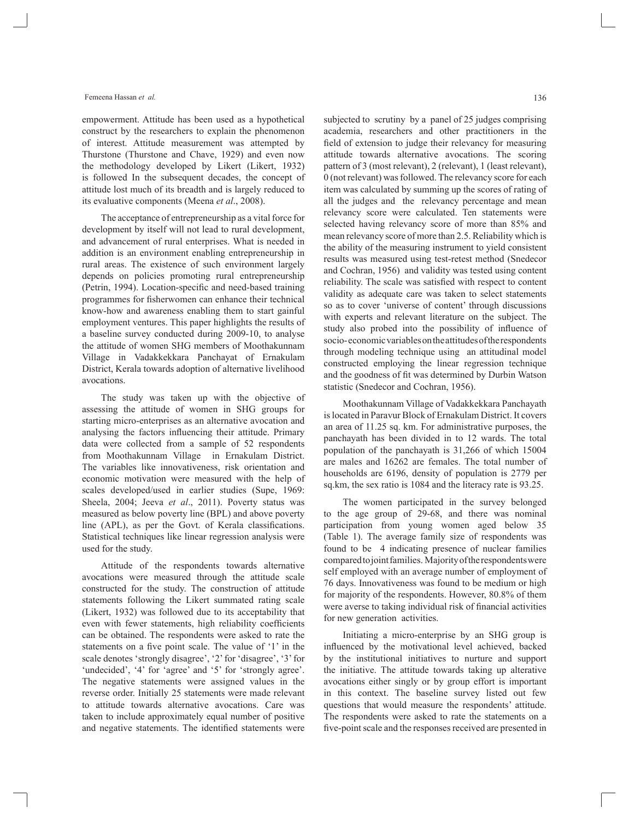#### Femeena Hassan *et al.*

empowerment. Attitude has been used as a hypothetical construct by the researchers to explain the phenomenon of interest. Attitude measurement was attempted by Thurstone (Thurstone and Chave, 1929) and even now the methodology developed by Likert (Likert, 1932) is followed In the subsequent decades, the concept of attitude lost much of its breadth and is largely reduced to its evaluative components (Meena *et al*., 2008).

The acceptance of entrepreneurship as a vital force for development by itself will not lead to rural development, and advancement of rural enterprises. What is needed in addition is an environment enabling entrepreneurship in rural areas. The existence of such environment largely depends on policies promoting rural entrepreneurship (Petrin, 1994). Location-specific and need-based training programmes for fisherwomen can enhance their technical know-how and awareness enabling them to start gainful employment ventures. This paper highlights the results of a baseline survey conducted during 2009-10, to analyse the attitude of women SHG members of Moothakunnam Village in Vadakkekkara Panchayat of Ernakulam District, Kerala towards adoption of alternative livelihood avocations.

The study was taken up with the objective of assessing the attitude of women in SHG groups for starting micro-enterprises as an alternative avocation and analysing the factors influencing their attitude. Primary data were collected from a sample of 52 respondents from Moothakunnam Village in Ernakulam District. The variables like innovativeness, risk orientation and economic motivation were measured with the help of scales developed/used in earlier studies (Supe, 1969: Sheela, 2004; Jeeva *et al*., 2011). Poverty status was measured as below poverty line (BPL) and above poverty line (APL), as per the Govt. of Kerala classifications. Statistical techniques like linear regression analysis were used for the study.

Attitude of the respondents towards alternative avocations were measured through the attitude scale constructed for the study. The construction of attitude statements following the Likert summated rating scale (Likert, 1932) was followed due to its acceptability that even with fewer statements, high reliability coefficients can be obtained. The respondents were asked to rate the statements on a five point scale. The value of '1' in the scale denotes 'strongly disagree', '2' for 'disagree', '3' for 'undecided', '4' for 'agree' and '5' for 'strongly agree'. The negative statements were assigned values in the reverse order. Initially 25 statements were made relevant to attitude towards alternative avocations. Care was taken to include approximately equal number of positive and negative statements. The identified statements were

subjected to scrutiny by a panel of 25 judges comprising academia, researchers and other practitioners in the field of extension to judge their relevancy for measuring attitude towards alternative avocations. The scoring pattern of 3 (most relevant), 2 (relevant), 1 (least relevant), 0 (not relevant) was followed. The relevancy score for each item was calculated by summing up the scores of rating of all the judges and the relevancy percentage and mean relevancy score were calculated. Ten statements were selected having relevancy score of more than 85% and mean relevancy score of more than 2.5. Reliability which is the ability of the measuring instrument to yield consistent results was measured using test-retest method (Snedecor and Cochran, 1956) and validity was tested using content reliability. The scale was satisfied with respect to content validity as adequate care was taken to select statements so as to cover 'universe of content' through discussions with experts and relevant literature on the subject. The study also probed into the possibility of influence of socio- economic variables on the attitudes of the respondents through modeling technique using an attitudinal model constructed employing the linear regression technique and the goodness of fit was determined by Durbin Watson statistic (Snedecor and Cochran, 1956).

Moothakunnam Village of Vadakkekkara Panchayath is located in Paravur Block of Ernakulam District. It covers an area of 11.25 sq. km. For administrative purposes, the panchayath has been divided in to 12 wards. The total population of the panchayath is 31,266 of which 15004 are males and 16262 are females. The total number of households are 6196, density of population is 2779 per sq.km, the sex ratio is 1084 and the literacy rate is 93.25.

The women participated in the survey belonged to the age group of 29-68, and there was nominal participation from young women aged below 35 (Table 1). The average family size of respondents was found to be 4 indicating presence of nuclear families compared to joint families. Majority of the respondents were self employed with an average number of employment of 76 days. Innovativeness was found to be medium or high for majority of the respondents. However, 80.8% of them were averse to taking individual risk of financial activities for new generation activities.

Initiating a micro-enterprise by an SHG group is influenced by the motivational level achieved, backed by the institutional initiatives to nurture and support the initiative. The attitude towards taking up alterative avocations either singly or by group effort is important in this context. The baseline survey listed out few questions that would measure the respondents' attitude. The respondents were asked to rate the statements on a five-point scale and the responses received are presented in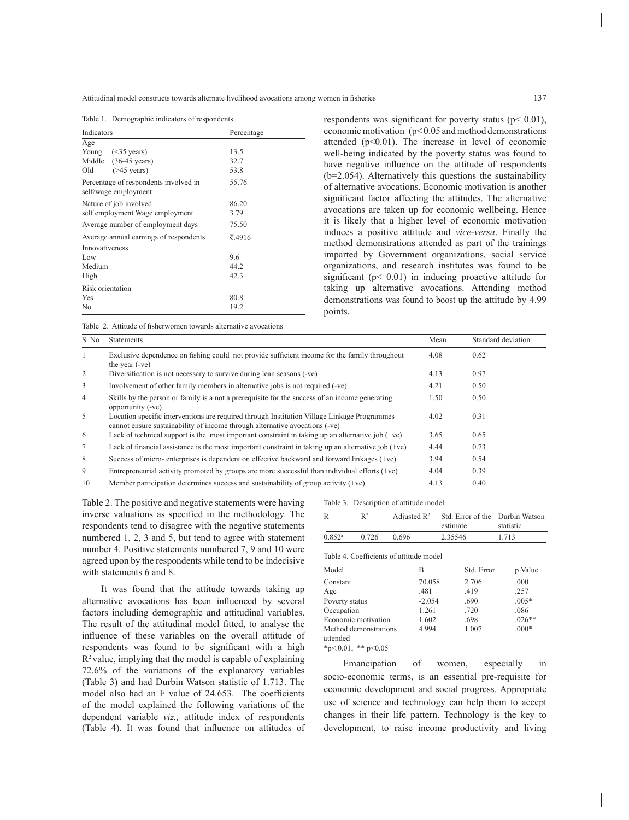Attitudinal model constructs towards alternate livelihood avocations among women in fisheries

Table 1. Demographic indicators of respondents

| Indicators                                                    | Percentage |  |
|---------------------------------------------------------------|------------|--|
| Age                                                           |            |  |
| Young $(\leq 35 \text{ years})$                               | 13.5       |  |
| Middle (36-45 years)                                          | 32.7       |  |
| $($ >45 years)<br>Old                                         | 53.8       |  |
| Percentage of respondents involved in<br>self/wage employment | 55.76      |  |
| Nature of job involved                                        | 86.20      |  |
| self employment Wage employment                               | 3.79       |  |
| Average number of employment days                             | 75.50      |  |
| Average annual earnings of respondents                        | ₹.4916     |  |
| Innovativeness                                                |            |  |
| Low                                                           | 9.6        |  |
| Medium                                                        | 44.2       |  |
| High                                                          | 42.3       |  |
| Risk orientation                                              |            |  |
| Yes                                                           | 80.8       |  |
| No                                                            | 19.2       |  |

respondents was significant for poverty status ( $p$ < 0.01), economic motivation (p< 0.05 and method demonstrations attended  $(p<0.01)$ . The increase in level of economic well-being indicated by the poverty status was found to have negative influence on the attitude of respondents (b=2.054). Alternatively this questions the sustainability of alternative avocations. Economic motivation is another significant factor affecting the attitudes. The alternative avocations are taken up for economic wellbeing. Hence it is likely that a higher level of economic motivation induces a positive attitude and *vice-versa*. Finally the method demonstrations attended as part of the trainings imparted by Government organizations, social service organizations, and research institutes was found to be significant ( $p$ < 0.01) in inducing proactive attitude for taking up alternative avocations. Attending method demonstrations was found to boost up the attitude by 4.99 points.

Table 2. Attitude of fisherwomen towards alternative avocations

| S. No          | <b>Statements</b>                                                                                                                                                          | Mean | Standard deviation |
|----------------|----------------------------------------------------------------------------------------------------------------------------------------------------------------------------|------|--------------------|
|                | Exclusive dependence on fishing could not provide sufficient income for the family throughout<br>the year $(-ve)$                                                          | 4.08 | 0.62               |
| 2              | Diversification is not necessary to survive during lean seasons (-ve)                                                                                                      | 4.13 | 0.97               |
| 3              | Involvement of other family members in alternative jobs is not required (-ve)                                                                                              | 4.21 | 0.50               |
| $\overline{4}$ | Skills by the person or family is a not a prerequisite for the success of an income generating<br>opportunity (-ve)                                                        | 1.50 | 0.50               |
| 5              | Location specific interventions are required through Institution Village Linkage Programmes<br>cannot ensure sustainability of income through alternative avocations (-ve) | 4.02 | 0.31               |
| 6              | Lack of technical support is the most important constraint in taking up an alternative job $(+ve)$                                                                         | 3.65 | 0.65               |
| 7              | Lack of financial assistance is the most important constraint in taking up an alternative job $(+ve)$                                                                      | 4.44 | 0.73               |
| 8              | Success of micro-enterprises is dependent on effective backward and forward linkages (+ve)                                                                                 | 3.94 | 0.54               |
| 9              | Entrepreneurial activity promoted by groups are more successful than individual efforts $(+ve)$                                                                            | 4.04 | 0.39               |
| 10             | Member participation determines success and sustainability of group activity $(+ve)$                                                                                       | 4.13 | 0.40               |

Table 2. The positive and negative statements were having inverse valuations as specified in the methodology. The respondents tend to disagree with the negative statements numbered 1, 2, 3 and 5, but tend to agree with statement number 4. Positive statements numbered 7, 9 and 10 were agreed upon by the respondents while tend to be indecisive with statements 6 and 8.

It was found that the attitude towards taking up alternative avocations has been influenced by several factors including demographic and attitudinal variables. The result of the attitudinal model fitted, to analyse the influence of these variables on the overall attitude of respondents was found to be significant with a high  $R<sup>2</sup>$  value, implying that the model is capable of explaining 72.6% of the variations of the explanatory variables (Table 3) and had Durbin Watson statistic of 1.713. The model also had an F value of 24.653. The coefficients of the model explained the following variations of the dependent variable *viz.,* attitude index of respondents (Table 4). It was found that influence on attitudes of

| R                    | $\mathbb{R}^2$ |       | Adjusted $\mathbb{R}^2$ Std. Error of the Durbin Watson<br>estimate | statistic |
|----------------------|----------------|-------|---------------------------------------------------------------------|-----------|
| $0.852$ <sup>a</sup> | 0.726          | 0.696 | 2.35546                                                             | 1.713     |

| Model                 | В        | Std. Error | p Value. |
|-----------------------|----------|------------|----------|
| Constant              | 70.058   | 2.706      | .000     |
| Age                   | .481     | .419       | .257     |
| Poverty status        | $-2.054$ | .690       | $.005*$  |
| Occupation            | 1.261    | .720       | .086     |
| Economic motivation   | 1.602    | .698       | $.026**$ |
| Method demonstrations | 4.994    | 1.007      | $.000*$  |
| attended              |          |            |          |
|                       |          |            |          |

 $*p<0.01$ ,  $*p<0.05$ 

Emancipation of women, especially in socio-economic terms, is an essential pre-requisite for economic development and social progress. Appropriate use of science and technology can help them to accept changes in their life pattern. Technology is the key to development, to raise income productivity and living